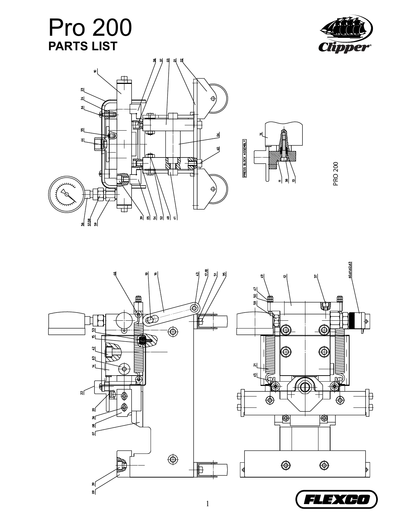## Pro 200 **PARTS LIST**







PRO 200

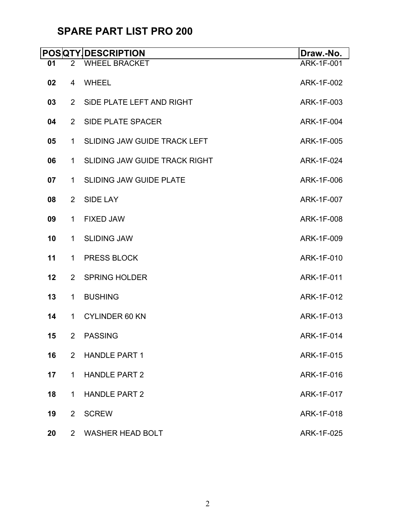## **SPARE PART LIST PRO 200**

|    |                | <b>POSQTY DESCRIPTION</b>            | Draw.-No.         |
|----|----------------|--------------------------------------|-------------------|
| 01 | $\overline{2}$ | <b>WHEEL BRACKET</b>                 | <b>ARK-1F-001</b> |
| 02 | 4              | <b>WHEEL</b>                         | ARK-1F-002        |
| 03 | $\overline{2}$ | SIDE PLATE LEFT AND RIGHT            | ARK-1F-003        |
| 04 | $\overline{2}$ | <b>SIDE PLATE SPACER</b>             | ARK-1F-004        |
| 05 | 1              | <b>SLIDING JAW GUIDE TRACK LEFT</b>  | ARK-1F-005        |
| 06 | $\mathbf{1}$   | <b>SLIDING JAW GUIDE TRACK RIGHT</b> | ARK-1F-024        |
| 07 | $\mathbf 1$    | <b>SLIDING JAW GUIDE PLATE</b>       | ARK-1F-006        |
| 08 | $\overline{2}$ | <b>SIDE LAY</b>                      | ARK-1F-007        |
| 09 | $\mathbf 1$    | <b>FIXED JAW</b>                     | ARK-1F-008        |
| 10 | $\mathbf{1}$   | <b>SLIDING JAW</b>                   | ARK-1F-009        |
| 11 | $\mathbf{1}$   | <b>PRESS BLOCK</b>                   | ARK-1F-010        |
| 12 | $\overline{2}$ | <b>SPRING HOLDER</b>                 | ARK-1F-011        |
| 13 | $\mathbf{1}$   | <b>BUSHING</b>                       | ARK-1F-012        |
| 14 | $\mathbf 1$    | <b>CYLINDER 60 KN</b>                | ARK-1F-013        |
| 15 | $\overline{2}$ | <b>PASSING</b>                       | ARK-1F-014        |
| 16 | 2              | <b>HANDLE PART 1</b>                 | ARK-1F-015        |
| 17 | $\mathbf 1$    | <b>HANDLE PART 2</b>                 | ARK-1F-016        |
| 18 | 1              | <b>HANDLE PART 2</b>                 | ARK-1F-017        |
| 19 | $\overline{2}$ | <b>SCREW</b>                         | ARK-1F-018        |
| 20 | $\overline{2}$ | <b>WASHER HEAD BOLT</b>              | ARK-1F-025        |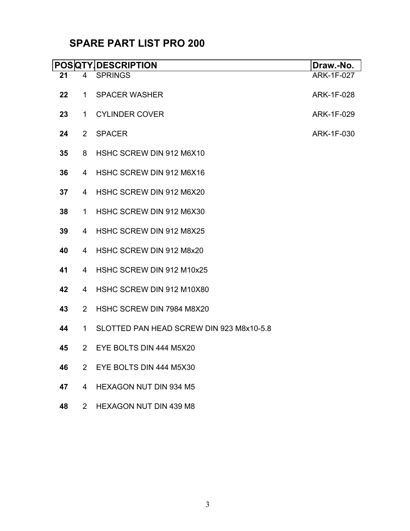## **SPARE PART LIST PRO 200**

|    |                | <b>POSQTY DESCRIPTION</b>                | Draw.-No.         |
|----|----------------|------------------------------------------|-------------------|
| 21 | 4              | <b>SPRINGS</b>                           | <b>ARK-1F-027</b> |
| 22 | $\mathbf 1$    | <b>SPACER WASHER</b>                     | ARK-1F-028        |
| 23 | $\mathbf 1$    | <b>CYLINDER COVER</b>                    | ARK-1F-029        |
| 24 | $\overline{2}$ | <b>SPACER</b>                            | ARK-1F-030        |
| 35 | 8              | HSHC SCREW DIN 912 M6X10                 |                   |
| 36 | 4              | HSHC SCREW DIN 912 M6X16                 |                   |
| 37 | 4              | HSHC SCREW DIN 912 M6X20                 |                   |
| 38 | $\mathbf 1$    | HSHC SCREW DIN 912 M6X30                 |                   |
| 39 | 4              | HSHC SCREW DIN 912 M8X25                 |                   |
| 40 | $\overline{4}$ | HSHC SCREW DIN 912 M8x20                 |                   |
| 41 | $\overline{4}$ | HSHC SCREW DIN 912 M10x25                |                   |
| 42 | $\overline{4}$ | HSHC SCREW DIN 912 M10X80                |                   |
| 43 | $\overline{2}$ | HSHC SCREW DIN 7984 M8X20                |                   |
| 44 | $\mathbf 1$    | SLOTTED PAN HEAD SCREW DIN 923 M8x10-5.8 |                   |
| 45 | $\overline{2}$ | EYE BOLTS DIN 444 M5X20                  |                   |
| 46 | $\overline{2}$ | EYE BOLTS DIN 444 M5X30                  |                   |
| 47 | $\overline{4}$ | <b>HEXAGON NUT DIN 934 M5</b>            |                   |
| 48 | $\overline{2}$ | <b>HEXAGON NUT DIN 439 M8</b>            |                   |